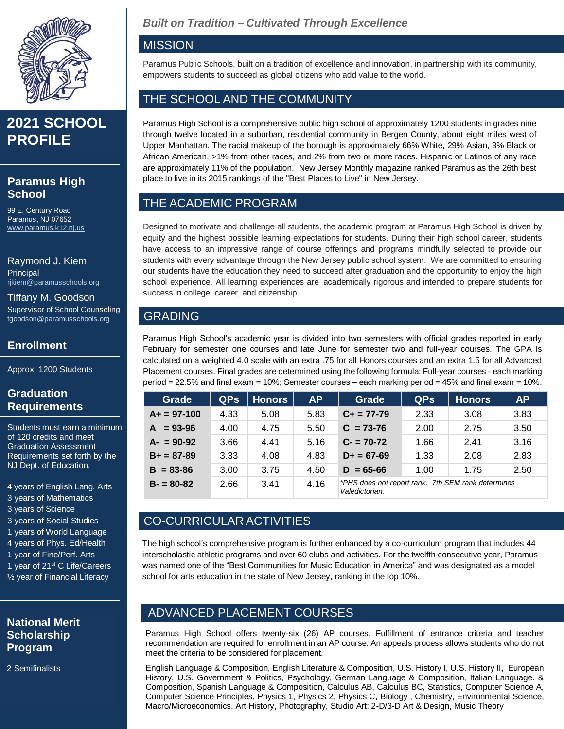

## **2021 SCHOOL PROFILE**

#### **Paramus High School**

99 E. Century Road Paramus, NJ 07652 <www.paramus.k12.nj.us>

Raymond J. Kiem **Principal** [rjkiem@paramusschools.org](mailto:rjkiem@paramusschools.org)

Tiffany M. Goodson Supervisor of School Counseling [tgoodson@paramusschools.org](mailto:tgoodson@paramusschools.org)

#### **Enrollment**

Approx. 1200 Students

#### **Graduation Requirements**

Students must earn a minimum of 120 credits and meet Graduation Assessment Requirements set forth by the NJ Dept. of Education.

4 years of English Lang. Arts 3 years of Mathematics 3 years of Science

- 3 years of Social Studies
- 1 years of World Language
- 4 years of Phys. Ed/Health
- 1 year of Fine/Perf. Arts
- 1 year of 21<sup>st</sup> C Life/Careers
- ½ year of Financial Literacy

#### **National Merit Scholarship Program**

2 Semifinalists

## *Built on Tradition – Cultivated Through Excellence*

#### **MISSION**

Paramus Public Schools, built on a tradition of excellence and innovation, in partnership with its community, empowers students to succeed as global citizens who add value to the world.

### THE SCHOOL AND THE COMMUNITY

Paramus High School is a comprehensive public high school of approximately 1200 students in grades nine through twelve located in a suburban, residential community in Bergen County, about eight miles west of Upper Manhattan. The racial makeup of the borough is approximately 66% White, 29% Asian, 3% Black or African American, >1% from other races, and 2% from two or more races. Hispanic or Latinos of any race are approximately 11% of the population. New Jersey Monthly magazine ranked Paramus as the 26th best place to live in its 2015 rankings of the "Best Places to Live" in New Jersey.

## THE ACADEMIC PROGRAM

Designed to motivate and challenge all students, the academic program at Paramus High School is driven by equity and the highest possible learning expectations for students. During their high school career, students have access to an impressive range of course offerings and programs mindfully selected to provide our students with every advantage through the New Jersey public school system. We are committed to ensuring our students have the education they need to succeed after graduation and the opportunity to enjoy the high school experience. All learning experiences are academically rigorous and intended to prepare students for success in college, career, and citizenship.

## GRADING

Paramus High School's academic year is divided into two semesters with official grades reported in early February for semester one courses and late June for semester two and full-year courses. The GPA is calculated on a weighted 4.0 scale with an extra .75 for all Honors courses and an extra 1.5 for all Advanced Placement courses. Final grades are determined using the following formula: Full-year courses - each marking period = 22.5% and final exam = 10%; Semester courses – each marking period = 45% and final exam = 10%.

| Grade            | <b>QPS</b> | <b>Honors</b> | <b>AP</b> | Grade                                                                | <b>QPs</b> | <b>Honors</b> | <b>AP</b> |
|------------------|------------|---------------|-----------|----------------------------------------------------------------------|------------|---------------|-----------|
| $A+ = 97-100$    | 4.33       | 5.08          | 5.83      | $C_{+}$ = 77-79                                                      | 2.33       | 3.08          | 3.83      |
| $= 93 - 96$<br>A | 4.00       | 4.75          | 5.50      | $C = 73 - 76$                                                        | 2.00       | 2.75          | 3.50      |
| $A - 90 - 92$    | 3.66       | 4.41          | 5.16      | $C - 70-72$                                                          | 1.66       | 2.41          | 3.16      |
| $B+ = 87-89$     | 3.33       | 4.08          | 4.83      | $D+ = 67-69$                                                         | 1.33       | 2.08          | 2.83      |
| $B = 83 - 86$    | 3.00       | 3.75          | 4.50      | $D = 65 - 66$                                                        | 1.00       | 1.75          | 2.50      |
| $B - 80 - 82$    | 2.66       | 3.41          | 4.16      | *PHS does not report rank. 7th SEM rank determines<br>Valedictorian. |            |               |           |

## CO-CURRICULAR ACTIVITIES

The high school's comprehensive program is further enhanced by a co-curriculum program that includes 44 interscholastic athletic programs and over 60 clubs and activities. For the twelfth consecutive year, Paramus was named one of the "Best Communities for Music Education in America" and was designated as a model school for arts education in the state of New Jersey, ranking in the top 10%.

### ADVANCED PLACEMENT COURSES

Paramus High School offers twenty-six (26) AP courses. Fulfillment of entrance criteria and teacher recommendation are required for enrollment in an AP course. An appeals process allows students who do not meet the criteria to be considered for placement.

English Language & Composition, English Literature & Composition, U.S. History I, U.S. History II, European History, U.S. Government & Politics, Psychology, German Language & Composition, Italian Language. & Composition, Spanish Language & Composition, Calculus AB, Calculus BC, Statistics, Computer Science A, Computer Science Principles, Physics 1, Physics 2, Physics C, Biology , Chemistry, Environmental Science, Macro/Microeconomics, Art History, Photography, Studio Art: 2-D/3-D Art & Design, Music Theory